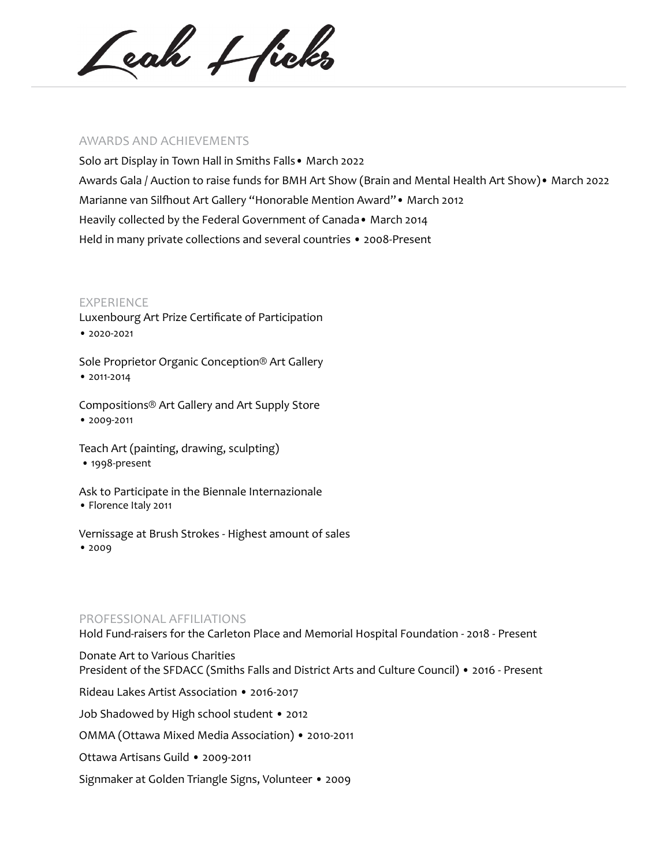Ceah + ficks

### AWARDS AND ACHIEVEMENTS

Solo art Display in Town Hall in Smiths Falls• March 2022 Awards Gala / Auction to raise funds for BMH Art Show (Brain and Mental Health Art Show)• March 2022 Marianne van Silfhout Art Gallery "Honorable Mention Award"• March 2012 Heavily collected by the Federal Government of Canada• March 2014 Held in many private collections and several countries • 2008-Present

### EXPERIENCE

Luxenbourg Art Prize Certificate of Participation • 2020-2021

Sole Proprietor Organic Conception® Art Gallery • 2011-2014

Compositions® Art Gallery and Art Supply Store • 2009-2011

Teach Art (painting, drawing, sculpting) • 1998-present

Ask to Participate in the Biennale Internazionale • Florence Italy 2011

Vernissage at Brush Strokes - Highest amount of sales • 2009

## PROFESSIONAL AFFILIATIONS

Hold Fund-raisers for the Carleton Place and Memorial Hospital Foundation - 2018 - Present

Donate Art to Various Charities President of the SFDACC (Smiths Falls and District Arts and Culture Council) • 2016 - Present Rideau Lakes Artist Association • 2016-2017 Job Shadowed by High school student • 2012 OMMA (Ottawa Mixed Media Association) • 2010-2011 Ottawa Artisans Guild • 2009-2011 Signmaker at Golden Triangle Signs, Volunteer • 2009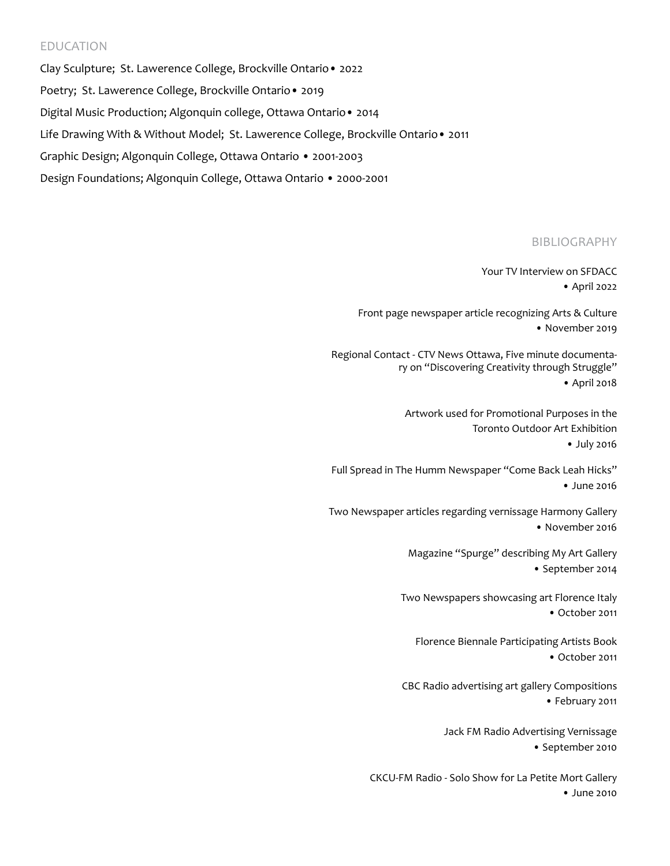# EDUCATION

Clay Sculpture; St. Lawerence College, Brockville Ontario• 2022 Poetry; St. Lawerence College, Brockville Ontario• 2019 Digital Music Production; Algonquin college, Ottawa Ontario• 2014 Life Drawing With & Without Model; St. Lawerence College, Brockville Ontario• 2011 Graphic Design; Algonquin College, Ottawa Ontario • 2001-2003 Design Foundations; Algonquin College, Ottawa Ontario • 2000-2001

## BIBLIOGRAPHY

Your TV Interview on SFDACC • April 2022

Front page newspaper article recognizing Arts & Culture • November 2019

Regional Contact - CTV News Ottawa, Five minute documentary on "Discovering Creativity through Struggle" • April 2018

> Artwork used for Promotional Purposes in the Toronto Outdoor Art Exhibition • July 2016

Full Spread in The Humm Newspaper "Come Back Leah Hicks" • June 2016

Two Newspaper articles regarding vernissage Harmony Gallery • November 2016

> Magazine "Spurge" describing My Art Gallery • September 2014

Two Newspapers showcasing art Florence Italy • October 2011

Florence Biennale Participating Artists Book • October 2011

 CBC Radio advertising art gallery Compositions • February 2011

> Jack FM Radio Advertising Vernissage • September 2010

CKCU-FM Radio - Solo Show for La Petite Mort Gallery • June 2010